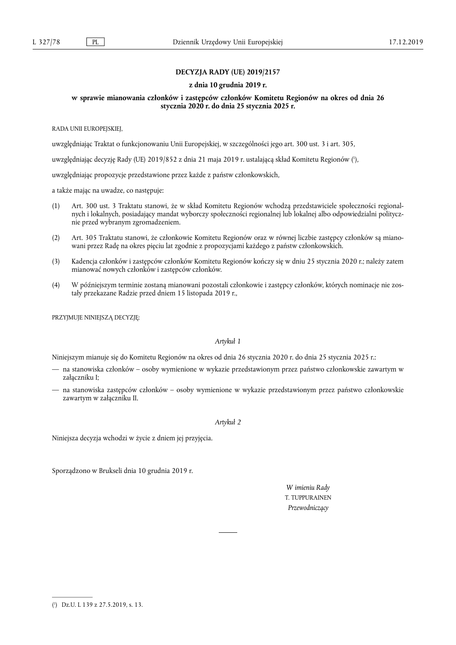# **DECYZJA RADY (UE) 2019/2157**

#### **z dnia 10 grudnia 2019 r.**

# **w sprawie mianowania członków i zastępców członków Komitetu Regionów na okres od dnia 26 stycznia 2020 r. do dnia 25 stycznia 2025 r.**

RADA UNII EUROPEJSKIEJ,

uwzględniając Traktat o funkcjonowaniu Unii Europejskiej, w szczególności jego art. 300 ust. 3 i art. 305,

uwzględniając decyzję Rady (UE) 2019/852 z dnia 21 maja 2019 r. ustalającą skład Komitetu Regionów ( 1 ),

uwzględniając propozycje przedstawione przez każde z państw członkowskich,

a także mając na uwadze, co następuje:

- (1) Art. 300 ust. 3 Traktatu stanowi, że w skład Komitetu Regionów wchodzą przedstawiciele społeczności regionalnych i lokalnych, posiadający mandat wyborczy społeczności regionalnej lub lokalnej albo odpowiedzialni politycznie przed wybranym zgromadzeniem.
- (2) Art. 305 Traktatu stanowi, że członkowie Komitetu Regionów oraz w równej liczbie zastępcy członków są mianowani przez Radę na okres pięciu lat zgodnie z propozycjami każdego z państw członkowskich.
- (3) Kadencja członków i zastępców członków Komitetu Regionów kończy się w dniu 25 stycznia 2020 r.; należy zatem mianować nowych członków i zastępców członków.
- (4) W późniejszym terminie zostaną mianowani pozostali członkowie i zastępcy członków, których nominacje nie zostały przekazane Radzie przed dniem 15 listopada 2019 r.,

PRZYJMUJE NINIEJSZĄ DECYZJĘ:

### *Artykuł 1*

Niniejszym mianuje się do Komitetu Regionów na okres od dnia 26 stycznia 2020 r. do dnia 25 stycznia 2025 r.:

- na stanowiska członków osoby wymienione w wykazie przedstawionym przez państwo członkowskie zawartym w załączniku I;
- na stanowiska zastępców członków osoby wymienione w wykazie przedstawionym przez państwo członkowskie zawartym w załączniku II.

# *Artykuł 2*

Niniejsza decyzja wchodzi w życie z dniem jej przyjęcia.

Sporządzono w Brukseli dnia 10 grudnia 2019 r.

*W imieniu Rady*  T. TUPPURAINEN *Przewodniczący* 

<sup>(</sup> 1 ) Dz.U. L 139 z 27.5.2019, s. 13.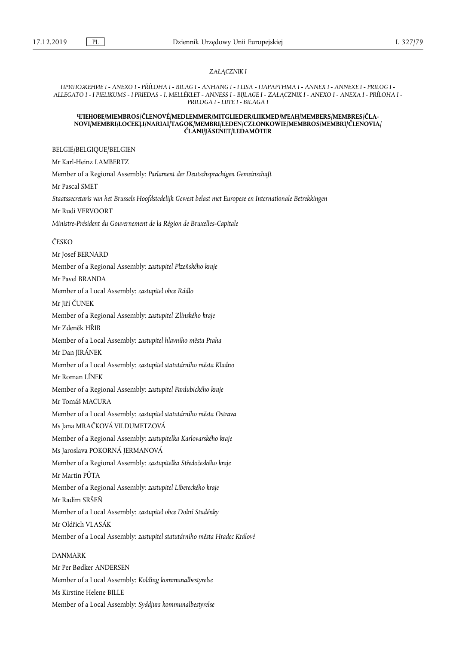#### *ZAŁĄCZNIK I*

*ПРИЛОЖЕНИЕ I - ANEXO I - PŘÍLOHA I - BILAG I - ANHANG I - I LISA - ΠΑΡΑΡΤΗΜΑ Ι - ANNEX I - ANNEXE I - PRILOG I - ALLEGATO I - I PIELIKUMS - I PRIEDAS - I. MELLÉKLET - ANNESS I - BIJLAGE I - ZAŁĄCZNIK I - ANEXO I - ANEXA I - PRÍLOHA I - PRILOGA I - LIITE I - BILAGA I* 

#### **ЧЛЕНОВЕ/MIEMBROS/ČLENOVÉ/MEDLEMMER/MITGLIEDER/LIIKMED/ΜΈΛΗ/MEMBERS/MEMBRES/ČLA-NOVI/MEMBRI/LOCEKĻI/NARIAI/TAGOK/MEMBRI/LEDEN/CZŁONKOWIE/MEMBROS/MEMBRI/ČLENOVIA/ ČLANI/JÄSENET/LEDAMÖTER**

BELGIË/BELGIQUE/BELGIEN

Mr Karl-Heinz LAMBERTZ Member of a Regional Assembly: *Parlament der Deutschsprachigen Gemeinschaft*  Mr Pascal SMET *Staatssecretaris van het Brussels Hoofdstedelijk Gewest belast met Europese en Internationale Betrekkingen*  Mr Rudi VERVOORT *Ministre-Président du Gouvernement de la Région de Bruxelles-Capitale*  ČESKO Mr Josef BERNARD Member of a Regional Assembly: *zastupitel Plzeňského kraje* 

Member of a Local Assembly: *zastupitel obce Rádlo* 

Mr Jiří ČUNEK

Mr Pavel BRANDA

Member of a Regional Assembly: *zastupitel Zlínského kraje* 

Mr Zdeněk HŘIB

Member of a Local Assembly: *zastupitel hlavního města Praha* 

Mr Dan JIRÁNEK

Member of a Local Assembly: *zastupitel statutárního města Kladno* 

Mr Roman LÍNEK

Member of a Regional Assembly: *zastupitel Pardubického kraje* 

Mr Tomáš MACURA

Member of a Local Assembly: *zastupitel statutárního města Ostrava*  Ms Jana MRAČKOVÁ VILDUMETZOVÁ

Member of a Regional Assembly: *zastupitelka Karlovarského kraje* 

Ms Jaroslava POKORNÁ JERMANOVÁ

Member of a Regional Assembly: *zastupitelka Středočeského kraje* 

Mr Martin PŮTA

Member of a Regional Assembly: *zastupitel Libereckého kraje* 

Mr Radim SRŠEŇ

Member of a Local Assembly: *zastupitel obce Dolní Studénky* 

Mr Oldřich VLASÁK

Member of a Local Assembly: *zastupitel statutárního města Hradec Králové* 

#### DANMARK

Mr Per Bødker ANDERSEN Member of a Local Assembly: *Kolding kommunalbestyrelse*  Ms Kirstine Helene BILLE Member of a Local Assembly: *Syddjurs kommunalbestyrelse*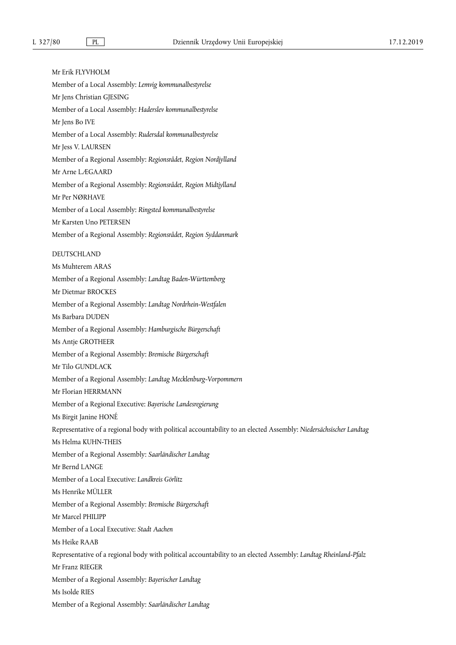Mr Erik FLYVHOLM Member of a Local Assembly: *Lemvig kommunalbestyrelse*  Mr Jens Christian GJESING Member of a Local Assembly: *Haderslev kommunalbestyrelse*  Mr Jens Bo IVE Member of a Local Assembly: *Rudersdal kommunalbestyrelse*  Mr Jess V. LAURSEN Member of a Regional Assembly: *Regionsrådet, Region Nordjylland*  Mr Arne LÆGAARD Member of a Regional Assembly: *Regionsrådet, Region Midtjylland*  Mr Per NØRHAVE Member of a Local Assembly: *Ringsted kommunalbestyrelse*  Mr Karsten Uno PETERSEN Member of a Regional Assembly: *Regionsrådet, Region Syddanmark*  DEUTSCHLAND Ms Muhterem ARAS Member of a Regional Assembly: *Landtag Baden-Württemberg*  Mr Dietmar BROCKES Member of a Regional Assembly: *Landtag Nordrhein-Westfalen*  Ms Barbara DUDEN Member of a Regional Assembly: *Hamburgische Bürgerschaft*  Ms Antje GROTHEER Member of a Regional Assembly: *Bremische Bürgerschaft*  Mr Tilo GUNDLACK Member of a Regional Assembly: *Landtag Mecklenburg-Vorpommern*  Mr Florian HERRMANN Member of a Regional Executive: *Bayerische Landesregierung*  Ms Birgit Janine HONÉ Representative of a regional body with political accountability to an elected Assembly: *Niedersächsischer Landtag*  Ms Helma KUHN-THEIS Member of a Regional Assembly: *Saarländischer Landtag*  Mr Bernd LANGE Member of a Local Executive: *Landkreis Görlitz*  Ms Henrike MÜLLER Member of a Regional Assembly: *Bremische Bürgerschaft*  Mr Marcel PHILIPP Member of a Local Executive: *Stadt Aachen*  Ms Heike RAAB Representative of a regional body with political accountability to an elected Assembly: *Landtag Rheinland-Pfalz*  Mr Franz RIEGER Member of a Regional Assembly: *Bayerischer Landtag*  Ms Isolde RIES Member of a Regional Assembly: *Saarländischer Landtag*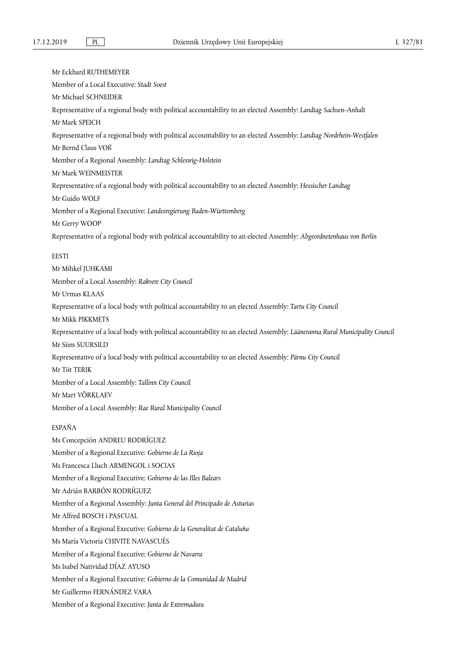Mr Eckhard RUTHEMEYER Member of a Local Executive: *Stadt Soest*  Mr Michael SCHNEIDER Representative of a regional body with political accountability to an elected Assembly: *Landtag Sachsen-Anhalt*  Mr Mark SPEICH Representative of a regional body with political accountability to an elected Assembly: *Landtag Nordrhein-Westfalen*  Mr Bernd Claus VOß Member of a Regional Assembly: *Landtag Schleswig-Holstein*  Mr Mark WEINMEISTER Representative of a regional body with political accountability to an elected Assembly: *Hessischer Landtag*  Mr Guido WOLF Member of a Regional Executive: *Landesregierung Baden-Württemberg*  Mr Gerry WOOP Representative of a regional body with political accountability to an elected Assembly: *Abgeordnetenhaus von Berlin*  **EESTI** Mr Mihkel JUHKAMI Member of a Local Assembly: *Rakvere City Council*  Mr Urmas KLAAS Representative of a local body with political accountability to an elected Assembly: *Tartu City Council*  Mr Mikk PIKKMETS Representative of a local body with political accountability to an elected Assembly: *Lääneranna Rural Municipality Council*  Mr Siim SUURSILD Representative of a local body with political accountability to an elected Assembly: *Pärnu City Council*  Mr Tiit TERIK Member of a Local Assembly: *Tallinn City Council*  Mr Mart VÕRKLAEV Member of a Local Assembly: *Rae Rural Municipality Council*  ESPAÑA Ms Concepción ANDREU RODRÍGUEZ Member of a Regional Executive: *Gobierno de La Rioja*  Ms Francesca Lluch ARMENGOL i SOCIAS Member of a Regional Executive: *Gobierno de las Illes Balears*  Mr Adrián BARBÓN RODRÍGUEZ Member of a Regional Assembly: *Junta General del Principado de Asturias*  Mr Alfred BOSCH i PASCUAL Member of a Regional Executive: *Gobierno de la Generalitat de Cataluña*  Ms María Victoria CHIVITE NAVASCUÉS Member of a Regional Executive: *Gobierno de Navarra*  Ms Isabel Natividad DÍAZ AYUSO Member of a Regional Executive: *Gobierno de la Comunidad de Madrid*  Mr Guillermo FERNÁNDEZ VARA

Member of a Regional Executive: *Junta de Extremadura*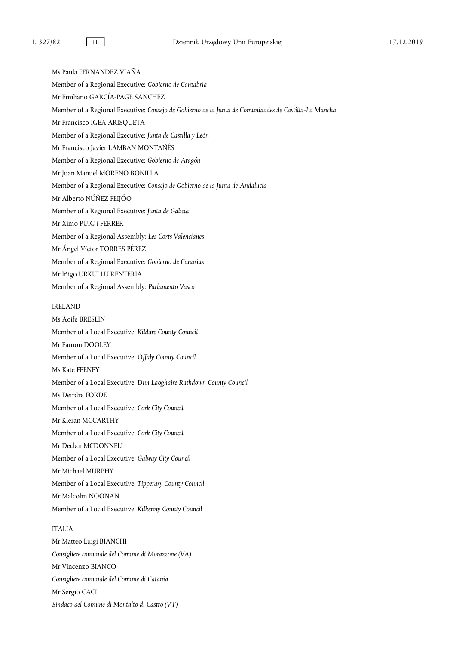Ms Paula FERNÁNDEZ VIAÑA Member of a Regional Executive: *Gobierno de Cantabria*  Mr Emiliano GARCÍA-PAGE SÁNCHEZ Member of a Regional Executive: *Consejo de Gobierno de la Junta de Comunidades de Castilla-La Mancha*  Mr Francisco IGEA ARISQUETA Member of a Regional Executive: *Junta de Castilla y León*  Mr Francisco Javier LAMBÁN MONTAÑÉS Member of a Regional Executive: *Gobierno de Aragón*  Mr Juan Manuel MORENO BONILLA Member of a Regional Executive: *Consejo de Gobierno de la Junta de Andalucía*  Mr Alberto NÚÑEZ FEIJÓO Member of a Regional Executive: *Junta de Galicia*  Mr Ximo PUIG i FERRER Member of a Regional Assembly: *Les Corts Valencianes*  Mr Ángel Víctor TORRES PÉREZ Member of a Regional Executive: *Gobierno de Canarias*  Mr Iñigo URKULLU RENTERIA Member of a Regional Assembly: *Parlamento Vasco*  IRELAND Ms Aoife BRESLIN Member of a Local Executive: *Kildare County Council*  Mr Eamon DOOLEY Member of a Local Executive: *Offaly County Council*  Ms Kate FEENEY Member of a Local Executive: *Dun Laoghaire Rathdown County Council*  Ms Deirdre FORDE Member of a Local Executive: *Cork City Council*  Mr Kieran MCCARTHY Member of a Local Executive: *Cork City Council*  Mr Declan MCDONNELL Member of a Local Executive: *Galway City Council*  Mr Michael MURPHY Member of a Local Executive: *Tipperary County Council*  Mr Malcolm NOONAN Member of a Local Executive: *Kilkenny County Council*  ITALIA Mr Matteo Luigi BIANCHI *Consigliere comunale del Comune di Morazzone (VA)*  Mr Vincenzo BIANCO *Consigliere comunale del Comune di Catania*  Mr Sergio CACI

*Sindaco del Comune di Montalto di Castro (VT)*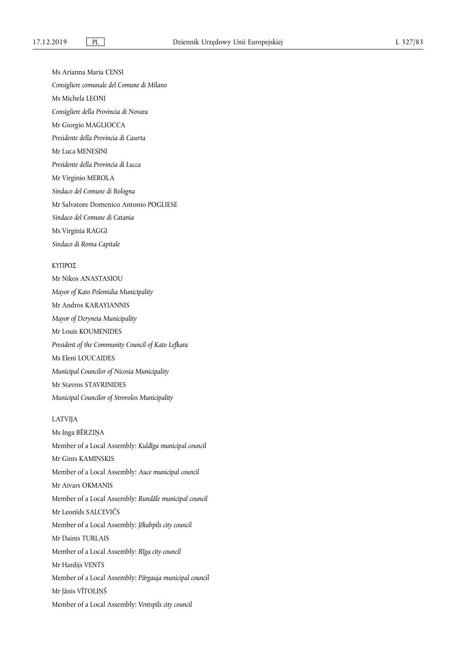Ms Arianna Maria CENSI

*Consigliere comunale del Comune di Milano* 

Ms Michela LEONI

*Consigliere della Provincia di Novara* 

Mr Giorgio MAGLIOCCA

*Presidente della Provincia di Caserta* 

Mr Luca MENESINI

*Presidente della Provincia di Lucca* 

Mr Virginio MEROLA

*Sindaco del Comune di Bologna* 

Mr Salvatore Domenico Antonio POGLIESE

*Sindaco del Comune di Catania* 

Ms Virginia RAGGI

*Sindaco di Roma Capitale* 

# ΚΥΠΡΟΣ

Mr Nikos ANASTASIOU *Mayor of Kato Polemidia Municipality*  Mr Andros KARAYIANNIS *Mayor of Deryneia Municipality*  Mr Louis KOUMENIDES *President of the Community Council of Kato Lefkara*  Ms Eleni LOUCAIDES *Municipal Councilor of Nicosia Municipality*  Mr Stavros STAVRINIDES *Municipal Councilor of Strovolos Municipality* 

## LATVIJA

Ms Inga BĒRZIŅA Member of a Local Assembly: *Kuldīga municipal council*  Mr Gints KAMINSKIS Member of a Local Assembly: *Auce municipal council*  Mr Aivars OKMANIS Member of a Local Assembly: *Rundāle municipal council*  Mr Leonīds SALCEVIČS Member of a Local Assembly: *Jēkabpils city council*  Mr Dainis TURLAIS Member of a Local Assembly: *Rīga city council*  Mr Hardijs VENTS Member of a Local Assembly: *Pārgauja municipal council*  Mr Jānis VĪTOLIŅŠ Member of a Local Assembly: *Ventspils city council*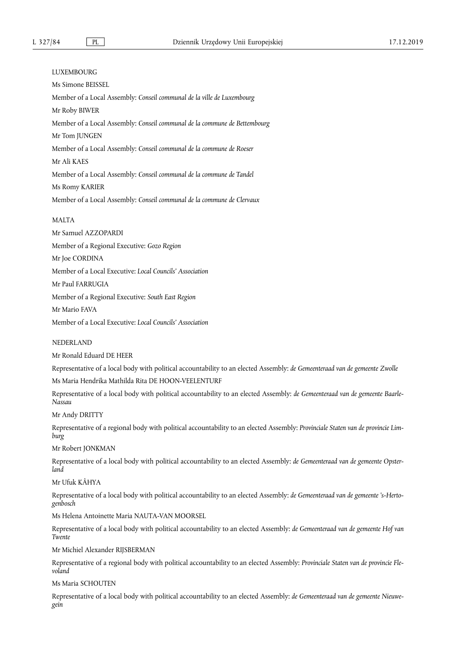# LUXEMBOURG Ms Simone BEISSEL Member of a Local Assembly: *Conseil communal de la ville de Luxembourg*  Mr Roby BIWER Member of a Local Assembly: *Conseil communal de la commune de Bettembourg*  Mr Tom JUNGEN Member of a Local Assembly: *Conseil communal de la commune de Roeser*  Mr Ali KAES Member of a Local Assembly: *Conseil communal de la commune de Tandel*  Ms Romy KARIER Member of a Local Assembly: *Conseil communal de la commune de Clervaux*

### MALTA

Mr Samuel AZZOPARDI Member of a Regional Executive: *Gozo Region*  Mr Joe CORDINA Member of a Local Executive: *Local Councils' Association*  Mr Paul FARRUGIA Member of a Regional Executive: *South East Region*  Mr Mario FAVA

Member of a Local Executive: *Local Councils' Association* 

NEDERLAND

Mr Ronald Eduard DE HEER

Representative of a local body with political accountability to an elected Assembly: *de Gemeenteraad van de gemeente Zwolle* 

Ms Maria Hendrika Mathilda Rita DE HOON-VEELENTURF

Representative of a local body with political accountability to an elected Assembly: *de Gemeenteraad van de gemeente Baarle-Nassau* 

Mr Andy DRITTY

Representative of a regional body with political accountability to an elected Assembly: *Provinciale Staten van de provincie Limburg* 

Mr Robert JONKMAN

Representative of a local body with political accountability to an elected Assembly: *de Gemeenteraad van de gemeente Opsterland* 

Mr Ufuk KÂHYA

Representative of a local body with political accountability to an elected Assembly: *de Gemeenteraad van de gemeente 's-Hertogenbosch* 

Ms Helena Antoinette Maria NAUTA-VAN MOORSEL

Representative of a local body with political accountability to an elected Assembly: *de Gemeenteraad van de gemeente Hof van Twente* 

Mr Michiel Alexander RIJSBERMAN

Representative of a regional body with political accountability to an elected Assembly: *Provinciale Staten van de provincie Flevoland* 

Ms Maria SCHOUTEN

Representative of a local body with political accountability to an elected Assembly: *de Gemeenteraad van de gemeente Nieuwegein*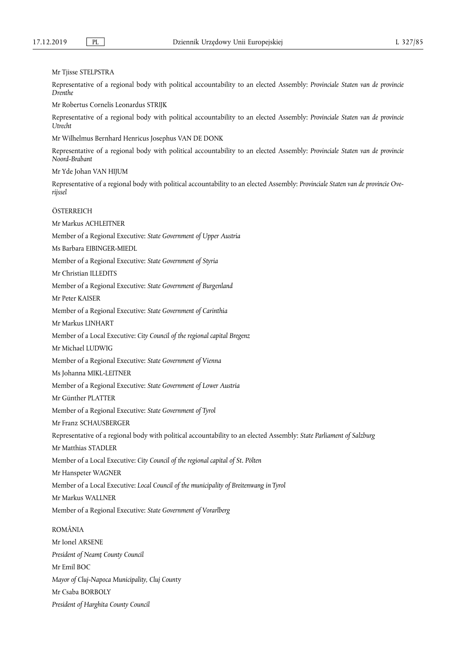Mr Tjisse STELPSTRA

Representative of a regional body with political accountability to an elected Assembly: *Provinciale Staten van de provincie Drenthe* 

Mr Robertus Cornelis Leonardus STRIJK

Representative of a regional body with political accountability to an elected Assembly: *Provinciale Staten van de provincie Utrecht* 

Mr Wilhelmus Bernhard Henricus Josephus VAN DE DONK

Representative of a regional body with political accountability to an elected Assembly: *Provinciale Staten van de provincie Noord-Brabant* 

Mr Yde Johan VAN HIJUM

Representative of a regional body with political accountability to an elected Assembly: *Provinciale Staten van de provincie Overijssel* 

**ÖSTERREICH** 

Mr Markus ACHLEITNER Member of a Regional Executive: *State Government of Upper Austria*  Ms Barbara EIBINGER-MIEDL Member of a Regional Executive: *State Government of Styria*  Mr Christian ILLEDITS Member of a Regional Executive: *State Government of Burgenland*  Mr Peter KAISER Member of a Regional Executive: *State Government of Carinthia*  Mr Markus LINHART Member of a Local Executive: *City Council of the regional capital Bregenz*  Mr Michael LUDWIG Member of a Regional Executive: *State Government of Vienna*  Ms Johanna MIKL-LEITNER Member of a Regional Executive: *State Government of Lower Austria*  Mr Günther PLATTER Member of a Regional Executive: *State Government of Tyrol*  Mr Franz SCHAUSBERGER Representative of a regional body with political accountability to an elected Assembly: *State Parliament of Salzburg*  Mr Matthias STADLER Member of a Local Executive: *City Council of the regional capital of St. Pölten*  Mr Hanspeter WAGNER Member of a Local Executive: *Local Council of the municipality of Breitenwang in Tyrol*  Mr Markus WALLNER Member of a Regional Executive: *State Government of Vorarlberg*  ROMÂNIA Mr Ionel ARSENE *President of Neamţ County Council*  Mr Emil BOC *Mayor of Cluj-Napoca Municipality, Cluj Coun*ty

Mr Csaba BORBOLY

*President of Harghita County Council*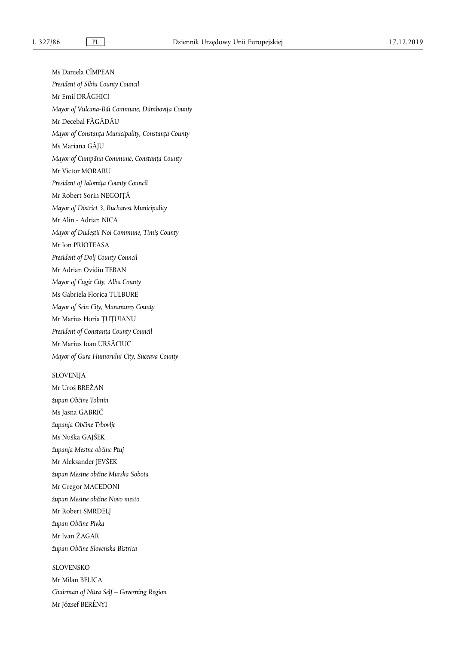Ms Daniela CÎMPEAN *President of Sibiu County Council*  Mr Emil DRĂGHICI *Mayor of Vulcana-Băi Commune, Dâmbovița County*  Mr Decebal FĂGĂDĂU *Mayor of Constanţa Municipality, Constanţa County*  Ms Mariana GÂJU *Mayor of Cumpăna Commune, Constanța County*  Mr Victor MORARU *President of Ialomiţa County Council*  Mr Robert Sorin NEGOIȚĂ *Mayor of District 3, Bucharest Municipality*  Mr Alin - Adrian NICA *Mayor of Dudeștii Noi Commune, Timiș County*  Mr Ion PRIOTEASA *President of Dolj County Council*  Mr Adrian Ovidiu TEBAN *Mayor of Cugir City, Alba County*  Ms Gabriela Florica TULBURE *Mayor of Sein City, Maramureș County*  Mr Marius Horia ȚUȚUIANU *President of Constanţa County Council*  Mr Marius Ioan URSĂCIUC *Mayor of Gura Humorului City, Suceava County*  SLOVENIJA Mr Uroš BREŽAN *župan Občine Tolmin* 

Ms Jasna GABRIČ *županja Občine Trbovlje*  Ms Nuška GAJŠEK *županja Mestne občine Ptuj*  Mr Aleksander JEVŠEK *župan Mestne občine Murska Sobota*  Mr Gregor MACEDONI *župan Mestne občine Novo mesto*  Mr Robert SMRDELJ *župan Občine Pivka*  Mr Ivan ŽAGAR *župan Občine Slovenska Bistrica* 

# SLOVENSKO

Mr Milan BELICA *Chairman of Nitra Self – Governing Region*  Mr József BERÉNYI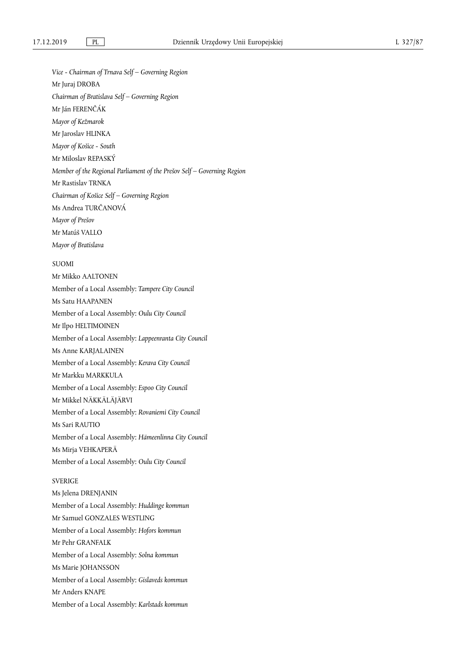*Vice - Chairman of Trnava Self – Governing Region* 

Mr Juraj DROBA

*Chairman of Bratislava Self – Governing Region* 

Mr Ján FERENČÁK

*Mayor of Kežmarok* 

Mr Jaroslav HLINKA

*Mayor of Košice - South* 

Mr Miloslav REPASKÝ

*Member of the Regional Parliament of the Prešov Self – Governing Region* 

Mr Rastislav TRNKA

*Chairman of Košice Self – Governing Region* 

Ms Andrea TURČANOVÁ

*Mayor of Prešov* 

Mr Matúš VALLO

*Mayor of Bratislava* 

# SUOMI

Mr Mikko AALTONEN Member of a Local Assembly: *Tampere City Council*  Ms Satu HAAPANEN Member of a Local Assembly: *Oulu City Council*  Mr Ilpo HELTIMOINEN Member of a Local Assembly: *Lappeenranta City Council*  Ms Anne KARJALAINEN Member of a Local Assembly: *Kerava City Council*  Mr Markku MARKKULA Member of a Local Assembly: *Espoo City Council*  Mr Mikkel NÄKKÄLÄJÄRVI Member of a Local Assembly: *Rovaniemi City Council*  Ms Sari RAUTIO Member of a Local Assembly: *Hämeenlinna City Council*  Ms Mirja VEHKAPERÄ Member of a Local Assembly: *Oulu City Council* 

# SVERIGE

Ms Jelena DRENJANIN Member of a Local Assembly: *Huddinge kommun*  Mr Samuel GONZALES WESTLING Member of a Local Assembly: *Hofors kommun*  Mr Pehr GRANFALK Member of a Local Assembly: *Solna kommun*  Ms Marie JOHANSSON Member of a Local Assembly: *Gislaveds kommun*  Mr Anders KNAPE Member of a Local Assembly: *Karlstads kommun*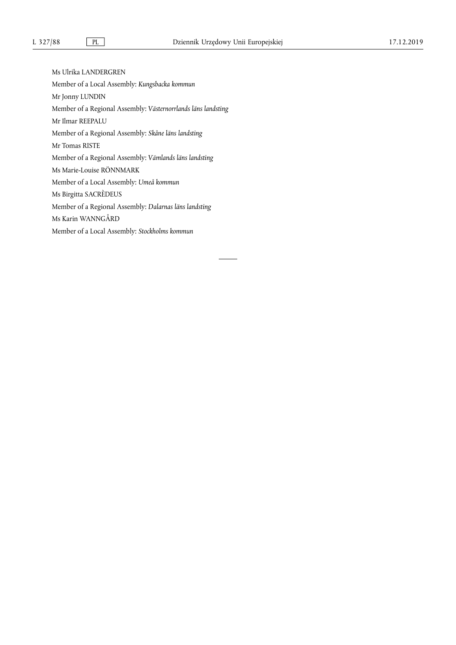Ms Ulrika LANDERGREN Member of a Local Assembly: *Kungsbacka kommun*  Mr Jonny LUNDIN Member of a Regional Assembly: *Västernorrlands läns landsting*  Mr Ilmar REEPALU Member of a Regional Assembly: *Skåne läns landsting*  Mr Tomas RISTE Member of a Regional Assembly: *Vämlands läns landsting*  Ms Marie-Louise RÖNNMARK Member of a Local Assembly: *Umeå kommun*  Ms Birgitta SACRÈDEUS Member of a Regional Assembly: *Dalarnas läns landsting*  Ms Karin WANNGÅRD Member of a Local Assembly: *Stockholms kommun*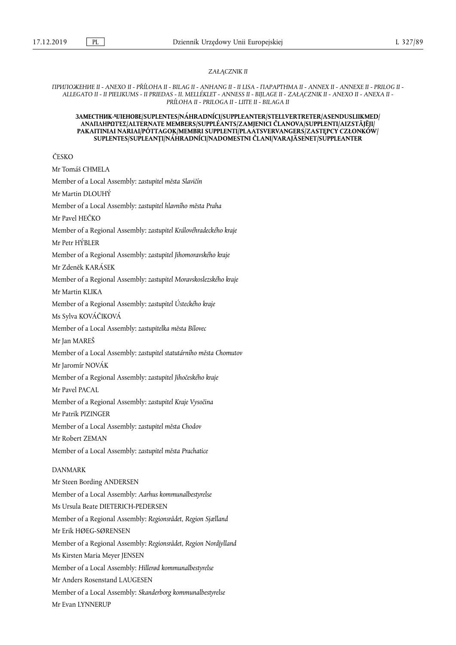#### *ZAŁĄCZNIK II*

*ПРИЛОЖЕНИЕ II - ANEXO II - PŘÍLOHA II - BILAG II - ANHANG II - II LISA - ΠΑΡΑΡΤΗΜΑ ΙΙ - ANNEX II - ANNEXE II - PRILOG II - ALLEGATO II - II PIELIKUMS - II PRIEDAS - II. MELLÉKLET - ANNESS II - BIJLAGE II - ZAŁĄCZNIK II - ANEXO II - ANEXA II - PRÍLOHA II - PRILOGA II - LIITE II - BILAGA II* 

#### **ЗАМЕСТНИК-ЧЛЕНОВЕ/SUPLENTES/NÁHRADNÍCI/SUPPLEANTER/STELLVERTRETER/ASENDUSLIIKMED/ ΑΝΑΠΛΗΡΩΤΈΣ/ALTERNATE MEMBERS/SUPPLÉANTS/ZAMJENICI ČLANOVA/SUPPLENTI/AIZSTĀJĒJI/ PAKAITINIAI NARIAI/PÓTTAGOK/MEMBRI SUPPLENTI/PLAATSVERVANGERS/ZASTĘPCY CZŁONKÓW/ SUPLENTES/SUPLEANȚI/NÁHRADNÍCI/NADOMESTNI ČLANI/VARAJÄSENET/SUPPLEANTER**

ČESKO

Mr Tomáš CHMELA Member of a Local Assembly: *zastupitel města Slavičín*  Mr Martin DLOUHÝ Member of a Local Assembly: *zastupitel hlavního města Praha*  Mr Pavel HEČKO Member of a Regional Assembly: *zastupitel Královéhradeckého kraje*  Mr Petr HÝBLER Member of a Regional Assembly: *zastupitel Jihomoravského kraje*  Mr Zdeněk KARÁSEK Member of a Regional Assembly: *zastupitel Moravskoslezského kraje*  Mr Martin KLIKA Member of a Regional Assembly: *zastupitel Ústeckého kraje*  Ms Sylva KOVÁČIKOVÁ Member of a Local Assembly: *zastupitelka města Bílovec*  Mr Jan MAREŠ Member of a Local Assembly: *zastupitel statutárního města Chomutov*  Mr Jaromír NOVÁK Member of a Regional Assembly: *zastupitel Jihočeského kraje*  Mr Pavel PACAL Member of a Regional Assembly: *zastupitel Kraje Vysočina*  Mr Patrik PIZINGER Member of a Local Assembly: *zastupitel města Chodov*  Mr Robert ZEMAN Member of a Local Assembly: *zastupitel města Prachatice*  DANMARK Mr Steen Bording ANDERSEN Member of a Local Assembly: *Aarhus kommunalbestyrelse*  Ms Ursula Beate DIETERICH-PEDERSEN Member of a Regional Assembly: *Regionsrådet, Region Sjælland*  Mr Erik HØEG-SØRENSEN Member of a Regional Assembly: *Regionsrådet, Region Nordjylland*  Ms Kirsten Maria Meyer JENSEN Member of a Local Assembly: *Hillerød kommunalbestyrelse*  Mr Anders Rosenstand LAUGESEN Member of a Local Assembly: *Skanderborg kommunalbestyrelse*  Mr Evan LYNNERUP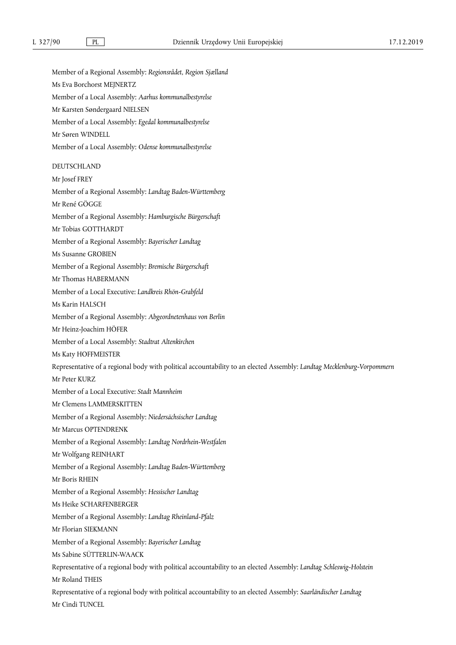Member of a Regional Assembly: *Regionsrådet, Region Sjælland*  Ms Eva Borchorst MEJNERTZ Member of a Local Assembly: *Aarhus kommunalbestyrelse*  Mr Karsten Søndergaard NIELSEN Member of a Local Assembly: *Egedal kommunalbestyrelse*  Mr Søren WINDELL Member of a Local Assembly: *Odense kommunalbestyrelse*  DEUTSCHLAND Mr Josef FREY Member of a Regional Assembly: *Landtag Baden-Württemberg*  Mr René GÖGGE Member of a Regional Assembly: *Hamburgische Bürgerschaft*  Mr Tobias GOTTHARDT Member of a Regional Assembly: *Bayerischer Landtag*  Ms Susanne GROBIEN Member of a Regional Assembly: *Bremische Bürgerschaft*  Mr Thomas HABERMANN Member of a Local Executive: *Landkreis Rhön-Grabfeld*  Ms Karin HALSCH Member of a Regional Assembly: *Abgeordnetenhaus von Berlin*  Mr Heinz-Joachim HÖFER Member of a Local Assembly: *Stadtrat Altenkirchen*  Ms Katy HOFFMEISTER Representative of a regional body with political accountability to an elected Assembly: *Landtag Mecklenburg-Vorpommern*  Mr Peter KURZ Member of a Local Executive: *Stadt Mannheim*  Mr Clemens LAMMERSKITTEN Member of a Regional Assembly: *Niedersächsischer Landtag*  Mr Marcus OPTENDRENK Member of a Regional Assembly: *Landtag Nordrhein-Westfalen*  Mr Wolfgang REINHART Member of a Regional Assembly: *Landtag Baden-Württemberg*  Mr Boris RHEIN Member of a Regional Assembly: *Hessischer Landtag*  Ms Heike SCHARFENBERGER Member of a Regional Assembly: *Landtag Rheinland-Pfalz*  Mr Florian SIEKMANN Member of a Regional Assembly: *Bayerischer Landtag*  Ms Sabine SÜTTERLIN-WAACK Representative of a regional body with political accountability to an elected Assembly: *Landtag Schleswig-Holstein*  Mr Roland THEIS Representative of a regional body with political accountability to an elected Assembly: *Saarländischer Landtag*  Mr Cindi TUNCEL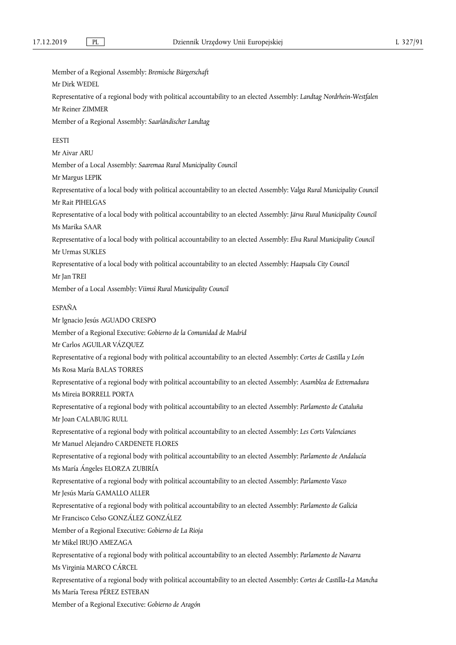Member of a Regional Assembly: *Bremische Bürgerschaft*  Mr Dirk WEDEL Representative of a regional body with political accountability to an elected Assembly: *Landtag Nordrhein-Westfalen*  Mr Reiner ZIMMER Member of a Regional Assembly: *Saarländischer Landtag*  **EESTI** Mr Aivar ARU Member of a Local Assembly: *Saaremaa Rural Municipality Council*  Mr Margus LEPIK Representative of a local body with political accountability to an elected Assembly: *Valga Rural Municipality Council*  Mr Rait PIHELGAS Representative of a local body with political accountability to an elected Assembly: *Järva Rural Municipality Council*  Ms Marika SAAR Representative of a local body with political accountability to an elected Assembly: *Elva Rural Municipality Council*  Mr Urmas SUKLES Representative of a local body with political accountability to an elected Assembly: *Haapsalu City Council*  Mr Jan TREI Member of a Local Assembly: *Viimsi Rural Municipality Council*  ESPAÑA Mr Ignacio Jesús AGUADO CRESPO Member of a Regional Executive: *Gobierno de la Comunidad de Madrid*  Mr Carlos AGUILAR VÁZQUEZ Representative of a regional body with political accountability to an elected Assembly: *Cortes de Castilla y León*  Ms Rosa María BALAS TORRES Representative of a regional body with political accountability to an elected Assembly: *Asamblea de Extremadura*  Ms Mireia BORRELL PORTA Representative of a regional body with political accountability to an elected Assembly: *Parlamento de Cataluña*  Mr Joan CALABUIG RULL Representative of a regional body with political accountability to an elected Assembly: *Les Corts Valencianes*  Mr Manuel Alejandro CARDENETE FLORES Representative of a regional body with political accountability to an elected Assembly: *Parlamento de Andalucía*  Ms María Ángeles ELORZA ZUBIRÍA Representative of a regional body with political accountability to an elected Assembly: *Parlamento Vasco*  Mr Jesús María GAMALLO ALLER Representative of a regional body with political accountability to an elected Assembly: *Parlamento de Galicia*  Mr Francisco Celso GONZÁLEZ GONZÁLEZ Member of a Regional Executive: *Gobierno de La Rioja*  Mr Mikel IRUJO AMEZAGA Representative of a regional body with political accountability to an elected Assembly: *Parlamento de Navarra*  Ms Virginia MARCO CÁRCEL Representative of a regional body with political accountability to an elected Assembly: *Cortes de Castilla-La Mancha*  Ms María Teresa PÉREZ ESTEBAN Member of a Regional Executive: *Gobierno de Aragón*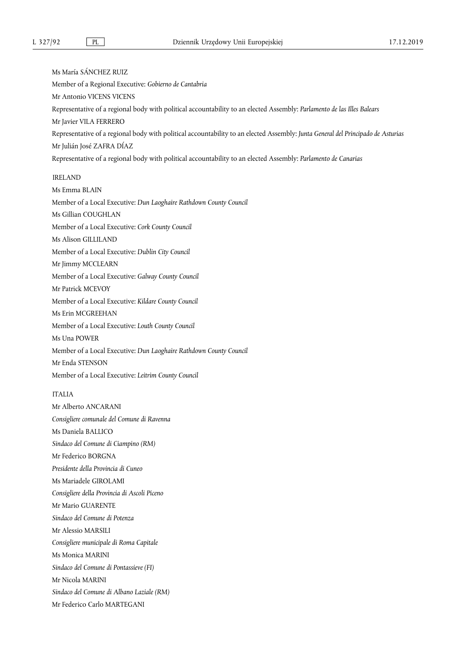Ms María SÁNCHEZ RUIZ Member of a Regional Executive: *Gobierno de Cantabria*  Mr Antonio VICENS VICENS Representative of a regional body with political accountability to an elected Assembly: *Parlamento de las Illes Balears*  Mr Javier VILA FERRERO Representative of a regional body with political accountability to an elected Assembly: *Junta General del Principado de Asturias*  Mr Julián José ZAFRA DÍAZ Representative of a regional body with political accountability to an elected Assembly: *Parlamento de Canarias*  IRELAND Ms Emma BLAIN Member of a Local Executive: *Dun Laoghaire Rathdown County Council*  Ms Gillian COUGHLAN Member of a Local Executive: *Cork County Council*  Ms Alison GILLILAND Member of a Local Executive: *Dublin City Council*  Mr Jimmy MCCLEARN Member of a Local Executive: *Galway County Council*  Mr Patrick MCEVOY Member of a Local Executive: *Kildare County Council*  Ms Erin MCGREEHAN Member of a Local Executive: *Louth County Council*  Ms Una POWER Member of a Local Executive: *Dun Laoghaire Rathdown County Council*  Mr Enda STENSON Member of a Local Executive: *Leitrim County Council*  **ITALIA** Mr Alberto ANCARANI *Consigliere comunale del Comune di Ravenna*  Ms Daniela BALLICO *Sindaco del Comune di Ciampino (RM)*  Mr Federico BORGNA *Presidente della Provincia di Cuneo*  Ms Mariadele GIROLAMI *Consigliere della Provincia di Ascoli Piceno*  Mr Mario GUARENTE *Sindaco del Comune di Potenza*  Mr Alessio MARSILI *Consigliere municipale di Roma Capitale*  Ms Monica MARINI *Sindaco del Comune di Pontassieve (FI)*  Mr Nicola MARINI

*Sindaco del Comune di Albano Laziale (RM)* 

Mr Federico Carlo MARTEGANI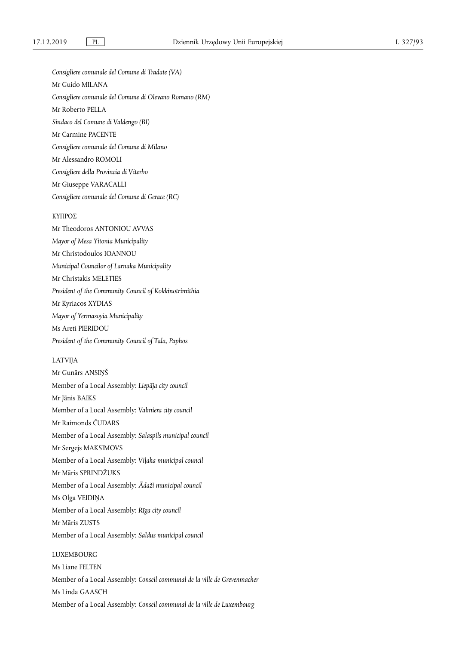*Consigliere comunale del Comune di Tradate (VA)*  Mr Guido MILANA *Consigliere comunale del Comune di Olevano Romano (RM)*  Mr Roberto PELLA *Sindaco del Comune di Valdengo (BI)*  Mr Carmine PACENTE *Consigliere comunale del Comune di Milano*  Mr Alessandro ROMOLI *Consigliere della Provincia di Viterbo*  Mr Giuseppe VARACALLI *Consigliere comunale del Comune di Gerace (RC)* 

# ΚΥΠΡΟΣ

Mr Theodoros ANTONIOU AVVAS *Mayor of Mesa Yitonia Municipality*  Mr Christodoulos IOANNOU *Municipal Councilor of Larnaka Municipality*  Mr Christakis MELETIES *President of the Community Council of Kokkinotrimithia*  Mr Kyriacos XYDIAS *Mayor of Yermasoyia Municipality*  Ms Areti PIERIDOU *President of the Community Council of Tala, Paphos* 

#### LATVIJA

Mr Gunārs ANSIŅŠ Member of a Local Assembly: *Liepāja city council*  Mr Jānis BAIKS Member of a Local Assembly: *Valmiera city council*  Mr Raimonds ČUDARS Member of a Local Assembly: *Salaspils municipal council*  Mr Sergejs MAKSIMOVS Member of a Local Assembly: *Viļaka municipal council*  Mr Māris SPRINDŽUKS Member of a Local Assembly: *Ādaži municipal council*  Ms Olga VEIDIŅA Member of a Local Assembly: *Rīga city council*  Mr Māris ZUSTS Member of a Local Assembly: *Saldus municipal council*  LUXEMBOURG

Ms Liane FELTEN Member of a Local Assembly: *Conseil communal de la ville de Grevenmacher*  Ms Linda GAASCH Member of a Local Assembly: *Conseil communal de la ville de Luxembourg*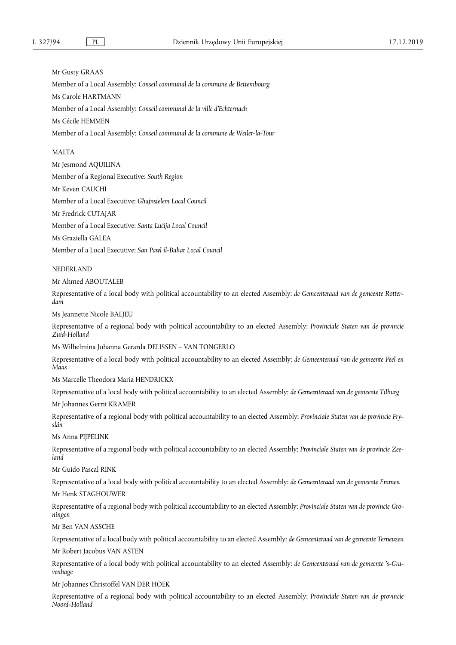Mr Gusty GRAAS Member of a Local Assembly: *Conseil communal de la commune de Bettembourg*  Ms Carole HARTMANN Member of a Local Assembly: *Conseil communal de la ville d'Echternach*  Ms Cécile HEMMEN Member of a Local Assembly: *Conseil communal de la commune de Weiler-la-Tour* 

#### MALTA

Mr Jesmond AQUILINA

Member of a Regional Executive: *South Region* 

Mr Keven CAUCHI

Member of a Local Executive: *Għajnsielem Local Council* 

Mr Fredrick CUTAJAR

Member of a Local Executive: *Santa Luċija Local Council* 

Ms Graziella GALEA

Member of a Local Executive: *San Pawl il-Baħar Local Council* 

NEDERLAND

Mr Ahmed ABOUTALEB

Representative of a local body with political accountability to an elected Assembly: *de Gemeenteraad van de gemeente Rotterdam* 

Ms Jeannette Nicole BALJEU

Representative of a regional body with political accountability to an elected Assembly: *Provinciale Staten van de provincie Zuid-Holland* 

Ms Wilhelmina Johanna Gerarda DELISSEN – VAN TONGERLO

Representative of a local body with political accountability to an elected Assembly: *de Gemeenteraad van de gemeente Peel en Maas* 

Ms Marcelle Theodora Maria HENDRICKX

Representative of a local body with political accountability to an elected Assembly: *de Gemeenteraad van de gemeente Tilburg* 

Mr Johannes Gerrit KRAMER

Representative of a regional body with political accountability to an elected Assembly: *Provinciale Staten van de provincie Fryslân* 

Ms Anna PIJPELINK

Representative of a regional body with political accountability to an elected Assembly: *Provinciale Staten van de provincie Zeeland* 

Mr Guido Pascal RINK

Representative of a local body with political accountability to an elected Assembly: *de Gemeenteraad van de gemeente Emmen*  Mr Henk STAGHOUWER

Representative of a regional body with political accountability to an elected Assembly: *Provinciale Staten van de provincie Groningen* 

Mr Ben VAN ASSCHE

Representative of a local body with political accountability to an elected Assembly: *de Gemeenteraad van de gemeente Terneuzen*  Mr Robert Jacobus VAN ASTEN

Representative of a local body with political accountability to an elected Assembly: *de Gemeenteraad van de gemeente 's-Gravenhage* 

Mr Johannes Christoffel VAN DER HOEK

Representative of a regional body with political accountability to an elected Assembly: *Provinciale Staten van de provincie Noord-Holland*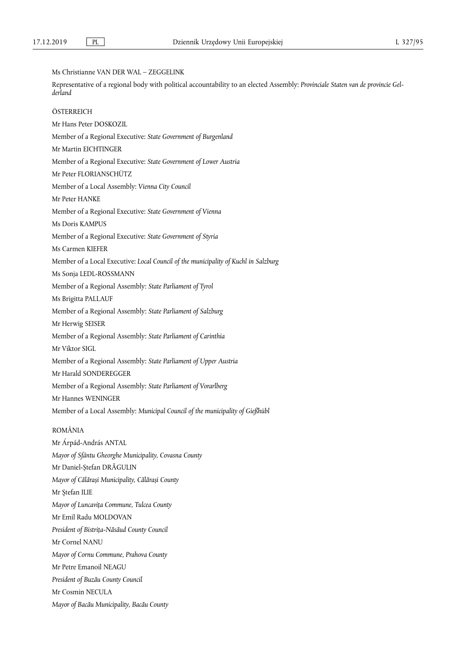Ms Christianne VAN DER WAL – ZEGGELINK

Representative of a regional body with political accountability to an elected Assembly: *Provinciale Staten van de provincie Gelderland*  **ÖSTERREICH** Mr Hans Peter DOSKOZIL Member of a Regional Executive: *State Government of Burgenland*  Mr Martin EICHTINGER Member of a Regional Executive: *State Government of Lower Austria*  Mr Peter FLORIANSCHÜTZ Member of a Local Assembly: *Vienna City Council*  Mr Peter HANKE Member of a Regional Executive: *State Government of Vienna*  Ms Doris KAMPUS Member of a Regional Executive: *State Government of Styria*  Ms Carmen KIEFER Member of a Local Executive: *Local Council of the municipality of Kuchl in Salzburg*  Ms Sonja LEDL-ROSSMANN Member of a Regional Assembly: *State Parliament of Tyrol*  Ms Brigitta PALLAUF Member of a Regional Assembly: *State Parliament of Salzburg*  Mr Herwig SEISER Member of a Regional Assembly: *State Parliament of Carinthia*  Mr Viktor SIGL Member of a Regional Assembly: *State Parliament of Upper Austria*  Mr Harald SONDEREGGER Member of a Regional Assembly: *State Parliament of Vorarlberg*  Mr Hannes WENINGER Member of a Local Assembly: *Municipal Council of the municipality of Gießhübl*  ROMÂNIA Mr Árpád-András ANTAL *Mayor of Sfântu Gheorghe Municipality, Covasna County*  Mr Daniel-Ștefan DRĂGULIN *Mayor of Călărași Municipality, Călărași County*  Mr Ştefan ILIE *Mayor of Luncavița Commune, Tulcea County*  Mr Emil Radu MOLDOVAN *President of Bistrița-Năsăud County Council*  Mr Cornel NANU *Mayor of Cornu Commune, Prahova County*  Mr Petre Emanoil NEAGU *President of Buzău County Council*  Mr Cosmin NECULA *Mayor of Bacău Municipality, Bacău County*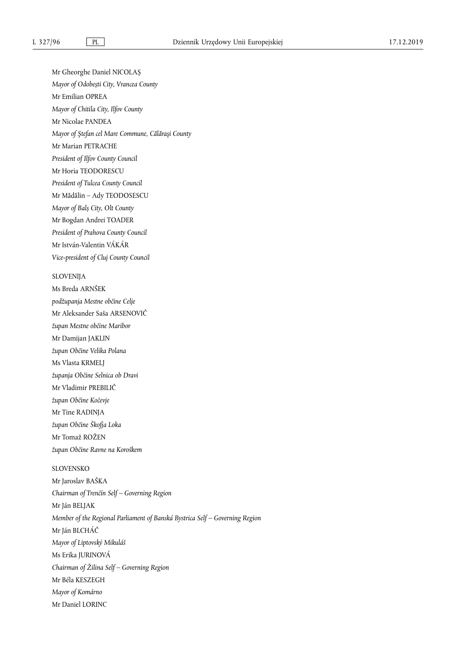Mr Gheorghe Daniel NICOLAȘ *Mayor of Odobești City, Vrancea County*  Mr Emilian OPREA *Mayor of Chitila City, Ilfov County*  Mr Nicolae PANDEA *Mayor of Ştefan cel Mare Commune, Călăraşi County*  Mr Marian PETRACHE *President of Ilfov County Council*  Mr Horia TEODORESCU *President of Tulcea County Council*  Mr Mădălin – Ady TEODOSESCU *Mayor of Balș City, Olt County*  Mr Bogdan Andrei TOADER *President of Prahova County Council*  Mr István-Valentin VÁKÁR *Vice-president of Cluj County Council* 

# SLOVENIJA

Ms Breda ARNŠEK *podžupanja Mestne občine Celje*  Mr Aleksander Saša ARSENOVIČ *župan Mestne občine Maribor*  Mr Damijan JAKLIN *župan Občine Velika Polana*  Ms Vlasta KRMELJ *županja Občine Selnica ob Dravi*  Mr Vladimir PREBILIČ *župan Občine Kočevje*  Mr Tine RADINJA *župan Občine Škofja Loka*  Mr Tomaž ROŽEN *župan Občine Ravne na Koroškem* 

## SLOVENSKO

Mr Jaroslav BAŠKA *Chairman of Trenčín Self – Governing Region*  Mr Ján BELJAK *Member of the Regional Parliament of Banská Bystrica Self – Governing Region*  Mr Ján BLCHÁČ *Mayor of Liptovský Mikuláš*  Ms Erika JURINOVÁ *Chairman of Žilina Self – Governing Region*  Mr Béla KESZEGH *Mayor of Komárno*  Mr Daniel LORINC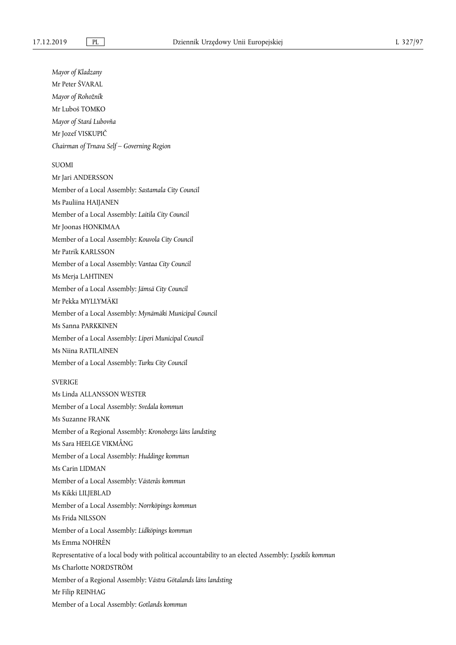*Mayor of Kladzany*  Mr Peter ŠVARAL *Mayor of Rohožník*  Mr Luboš TOMKO *Mayor of Stará Lubovňa*  Mr Jozef VISKUPIČ *Chairman of Trnava Self – Governing Region*  SUOMI Mr Jari ANDERSSON Member of a Local Assembly: *Sastamala City Council*  Ms Pauliina HAIJANEN Member of a Local Assembly: *Laitila City Council*  Mr Joonas HONKIMAA Member of a Local Assembly: *Kouvola City Council*  Mr Patrik KARLSSON Member of a Local Assembly: *Vantaa City Council*  Ms Merja LAHTINEN Member of a Local Assembly: *Jämsä City Council*  Mr Pekka MYLLYMÄKI Member of a Local Assembly: *Mynämäki Municipal Council*  Ms Sanna PARKKINEN Member of a Local Assembly: *Liperi Municipal Council*  Ms Niina RATILAINEN Member of a Local Assembly: *Turku City Council*  **SVERIGE** Ms Linda ALLANSSON WESTER Member of a Local Assembly: *Svedala kommun*  Ms Suzanne FRANK Member of a Regional Assembly: *Kronobergs läns landsting*  Ms Sara HEELGE VIKMÅNG Member of a Local Assembly: *Huddinge kommun*  Ms Carin LIDMAN Member of a Local Assembly: *Västerås kommun*  Ms Kikki LILJEBLAD Member of a Local Assembly: *Norrköpings kommun*  Ms Frida NILSSON Member of a Local Assembly: *Lidköpings kommun*  Ms Emma NOHRÈN Representative of a local body with political accountability to an elected Assembly: *Lysekils kommun*  Ms Charlotte NORDSTRÖM Member of a Regional Assembly: *Västra Götalands läns landsting*  Mr Filip REINHAG

Member of a Local Assembly: *Gotlands kommun*